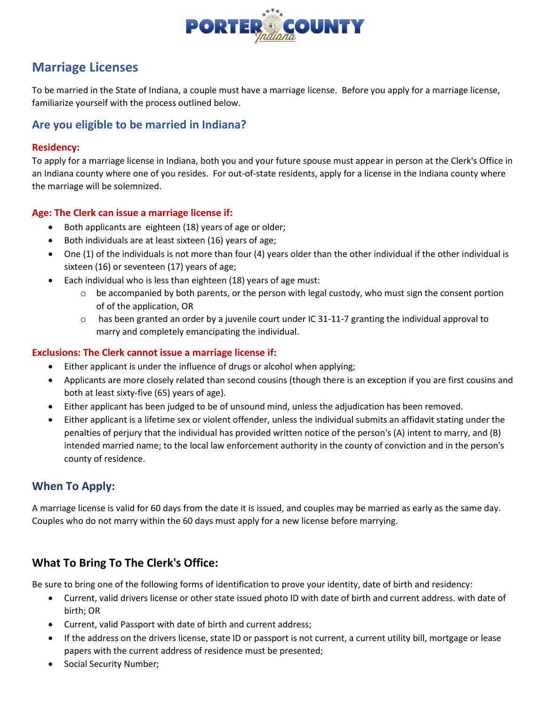

# **Marriage Licenses**

To be married in the State of Indiana, a couple must have a marriage license. Before you apply for a marriage license, familiarize yourself with the process outlined below.

# **Are you eligible to be married in Indiana?**

#### **Residency:**

To apply for a marriage license in Indiana, both you and your future spouse must appear in person at the Clerk's Office in an Indiana county where one of you resides. For out-of-state residents, apply for a license in the Indiana county where the marriage will be solemnized.

#### **Age: The Clerk can issue a marriage license if:**

- Both applicants are eighteen (18) years of age or older;
- Both individuals are at least sixteen (16) years of age;
- One (1) of the individuals is not more than four (4) years older than the other individual if the other individual is sixteen (16) or seventeen (17) years of age;
- Each individual who is less than eighteen (18) years of age must:
	- $\circ$  be accompanied by both parents, or the person with legal custody, who must sign the consent portion of of the application, OR
	- o has been granted an order by a juvenile court under IC 31-11-7 granting the individual approval to marry and completely emancipating the individual.

#### **Exclusions: The Clerk cannot issue a marriage license if:**

- Either applicant is under the influence of drugs or alcohol when applying;
- Applicants are more closely related than second cousins (though there is an exception if you are first cousins and both at least sixty-five (65) years of age).
- Either applicant has been judged to be of unsound mind, unless the adjudication has been removed.
- Either applicant is a lifetime sex or violent offender, unless the individual submits an affidavit stating under the penalties of perjury that the individual has provided written notice of the person's (A) intent to marry, and (B) intended married name; to the local law enforcement authority in the county of conviction and in the person's county of residence.

### **When To Apply:**

A marriage license is valid for 60 days from the date it is issued, and couples may be married as early as the same day. Couples who do not marry within the 60 days must apply for a new license before marrying.

# **What To Bring To The Clerk's Office:**

Be sure to bring one of the following forms of identification to prove your identity, date of birth and residency:

- Current, valid drivers license or other state issued photo ID with date of birth and current address. with date of birth; OR
- Current, valid Passport with date of birth and current address;
- If the address on the drivers license, state ID or passport is not current, a current utility bill, mortgage or lease papers with the current address of residence must be presented;
- Social Security Number;